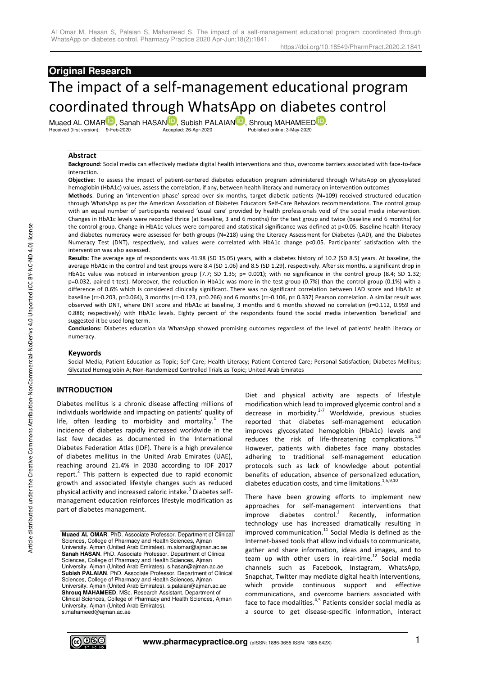# **Original Research**

# The impact of a self-management educational program coordinated through WhatsApp on diabetes control

Muaed AL OMA[R](https://orcid.org/0000-0001-6526-2253)<sup>ID</sup>, Sanah HASA[N](https://orcid.org/0000-0002-3043-0322)<sup>ID</sup>[,](https://orcid.org/0000-0002-9323-3940) Subish PALAIAN<sup>ID</sup>, Shrouq MAHAMEED<sup>ID</sup>[.](https://orcid.org/0000-0001-5950-9344)<br>Received (first version): 9-Feb-2020<br>Accepted: 26-Apr-2020<br>Published online: 3-Mav-2020 Received (first version): 9-Feb-2020

#### **Abstract**

**Background**: Social media can effectively mediate digital health interventions and thus, overcome barriers associated with face-to-face interaction.

**Objective**: To assess the impact of patient-centered diabetes education program administered through WhatsApp on glycosylated hemoglobin (HbA1c) values, assess the correlation, if any, between health literacy and numeracy on intervention outcomes

**Methods**: During an 'intervention phase' spread over six months, target diabetic patients (N=109) received structured education through WhatsApp as per the American Association of Diabetes Educators Self-Care Behaviors recommendations. The control group with an equal number of participants received 'usual care' provided by health professionals void of the social media intervention. Changes in HbA1c levels were recorded thrice (at baseline, 3 and 6 months) for the test group and twice (baseline and 6 months) for the control group. Change in HbA1c values were compared and statistical significance was defined at p<0.05. Baseline health literacy and diabetes numeracy were assessed for both groups (N=218) using the Literacy Assessment for Diabetes (LAD), and the Diabetes Numeracy Test (DNT), respectively, and values were correlated with HbA1c change p<0.05. Participants' satisfaction with the intervention was also assessed.

**Results**: The average age of respondents was 41.98 (SD 15.05) years, with a diabetes history of 10.2 (SD 8.5) years. At baseline, the average HbA1c in the control and test groups were 8.4 (SD 1.06) and 8.5 (SD 1.29), respectively. After six months, a significant drop in HbA1c value was noticed in intervention group (7.7; SD 1.35; p= 0.001); with no significance in the control group (8.4; SD 1.32; p=0.032, paired t-test). Moreover, the reduction in HbA1c was more in the test group (0.7%) than the control group (0.1%) with a difference of 0.6% which is considered clinically significant. There was no significant correlation between LAD score and HbA1c at baseline (r=-0.203, p=0.064), 3 months (r=-0.123, p=0.266) and 6 months (r=-0.106, p= 0.337) Pearson correlation. A similar result was observed with DNT, where DNT score and HbA1c at baseline, 3 months and 6 months showed no correlation (r=0.112, 0.959 and 0.886; respectively) with HbA1c levels. Eighty percent of the respondents found the social media intervention 'beneficial' and suggested it be used long term.

**Conclusions**: Diabetes education via WhatsApp showed promising outcomes regardless of the level of patients' health literacy or numeracy.

#### **Keywords**

Social Media; Patient Education as Topic; Self Care; Health Literacy; Patient-Centered Care; Personal Satisfaction; Diabetes Mellitus; Glycated Hemoglobin A; Non-Randomized Controlled Trials as Topic; United Arab Emirates

# **INTRODUCTION**

Diabetes mellitus is a chronic disease affecting millions of individuals worldwide and impacting on patients' quality of life, often leading to morbidity and mortality. $1$  The incidence of diabetes rapidly increased worldwide in the last few decades as documented in the International Diabetes Federation Atlas (IDF). There is a high prevalence of diabetes mellitus in the United Arab Emirates (UAE), reaching around 21.4% in 2030 according to IDF 2017 report. $2$  This pattern is expected due to rapid economic growth and associated lifestyle changes such as reduced physical activity and increased caloric intake.<sup>3</sup> Diabetes selfmanagement education reinforces lifestyle modification as part of diabetes management.

**Muaed AL OMAR**. PhD. Associate Professor. Department of Clinical Sciences, College of Pharmacy and Health Sciences, Ajman University. Ajman (United Arab Emirates). m.alomar@ajman.ac.ae **Sanah HASAN**. PhD. Associate Professor. Department of Clinical Sciences, College of Pharmacy and Health Sciences, Ajman University. Ajman (United Arab Emirates). s.hasan@ajman.ac.ae **Subish PALAIAN**. PhD. Associate Professor. Department of Clinical Sciences, College of Pharmacy and Health Sciences, Ajman University. Ajman (United Arab Emirates). s.palaian@ajman.ac.ae **Shrouq MAHAMEED**. MSc. Research Assistant. Department of Clinical Sciences, College of Pharmacy and Health Sciences, Ajman University. Ajman (United Arab Emirates). s.mahameed@ajman.ac.ae

Diet and physical activity are aspects of lifestyle modification which lead to improved glycemic control and a decrease in morbidity. $3-7$  Worldwide, previous studies reported that diabetes self-management education improves glycosylated hemoglobin (HbA1c) levels and reduces the risk of life-threatening complications. $^{1,8}$ However, patients with diabetes face many obstacles adhering to traditional self-management education protocols such as lack of knowledge about potential benefits of education, absence of personalized education, diabetes education costs, and time limitations.<sup>1,5,9,10</sup>

There have been growing efforts to implement new approaches for self-management interventions that improve diabetes control.<sup>1</sup> Recently, information technology use has increased dramatically resulting in improved communication. $^{11}$  Social Media is defined as the Internet-based tools that allow individuals to communicate, gather and share information, ideas and images, and to team up with other users in real-time. $12$  Social media channels such as Facebook, Instagram, WhatsApp, Snapchat, Twitter may mediate digital health interventions, which provide continuous support and effective communications, and overcome barriers associated with face to face modalities. $4,5$  Patients consider social media as a source to get disease-specific information, interact

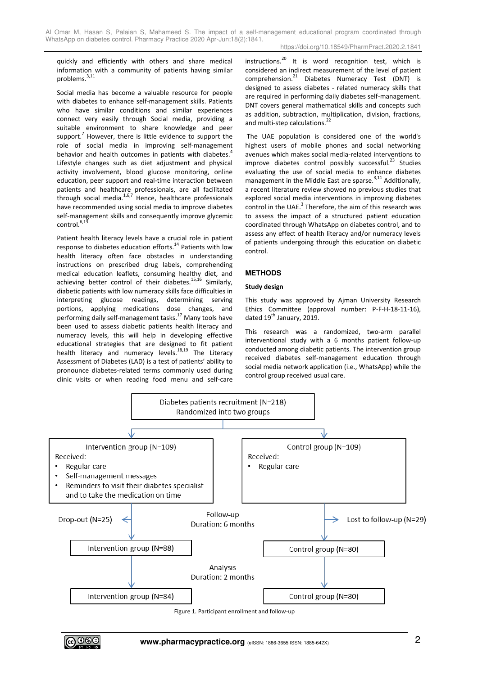quickly and efficiently with others and share medical information with a community of patients having similar problems.<sup>3,11</sup>

Social media has become a valuable resource for people with diabetes to enhance self-management skills. Patients who have similar conditions and similar experiences connect very easily through Social media, providing a suitable environment to share knowledge and peer support.<sup>7</sup> However, there is little evidence to support the role of social media in improving self-management behavior and health outcomes in patients with diabetes.<sup>4</sup> Lifestyle changes such as diet adjustment and physical activity involvement, blood glucose monitoring, online education, peer support and real-time interaction between patients and healthcare professionals, are all facilitated through social media.1,6,7 Hence, healthcare professionals have recommended using social media to improve diabetes self-management skills and consequently improve glycemic  $control.<sup>6,13</sup>$ 

Patient health literacy levels have a crucial role in patient response to diabetes education efforts.<sup>14</sup> Patients with low health literacy often face obstacles in understanding instructions on prescribed drug labels, comprehending medical education leaflets, consuming healthy diet, and achieving better control of their diabetes.<sup>15,16</sup> Similarly, diabetic patients with low numeracy skills face difficulties in interpreting glucose readings, determining serving portions, applying medications dose changes, and performing daily self-management tasks.<sup>17</sup> Many tools have been used to assess diabetic patients health literacy and numeracy levels, this will help in developing effective educational strategies that are designed to fit patient health literacy and numeracy levels.<sup>18,19</sup> The Literacy Assessment of Diabetes (LAD) is a test of patients' ability to pronounce diabetes-related terms commonly used during clinic visits or when reading food menu and self-care instructions.<sup>20</sup> It is word recognition test, which is considered an indirect measurement of the level of patient comprehension.<sup>21</sup> Diabetes Numeracy Test (DNT) is designed to assess diabetes - related numeracy skills that are required in performing daily diabetes self-management. DNT covers general mathematical skills and concepts such as addition, subtraction, multiplication, division, fractions, and multi-step calculations.<sup>22</sup>

 The UAE population is considered one of the world's highest users of mobile phones and social networking avenues which makes social media-related interventions to improve diabetes control possibly successful. $^{23}$  Studies evaluating the use of social media to enhance diabetes management in the Middle East are sparse.<sup>3,11</sup> Additionally, a recent literature review showed no previous studies that explored social media interventions in improving diabetes control in the UAE. $3$  Therefore, the aim of this research was to assess the impact of a structured patient education coordinated through WhatsApp on diabetes control, and to assess any effect of health literacy and/or numeracy levels of patients undergoing through this education on diabetic control.

# **METHODS**

### **Study design**

This study was approved by Ajman University Research Ethics Committee (approval number: P-F-H-18-11-16), dated 19<sup>th</sup> January, 2019.

This research was a randomized, two-arm parallel interventional study with a 6 months patient follow-up conducted among diabetic patients. The intervention group received diabetes self-management education through social media network application (i.e., WhatsApp) while the control group received usual care.



Figure 1. Participant enrollment and follow-up

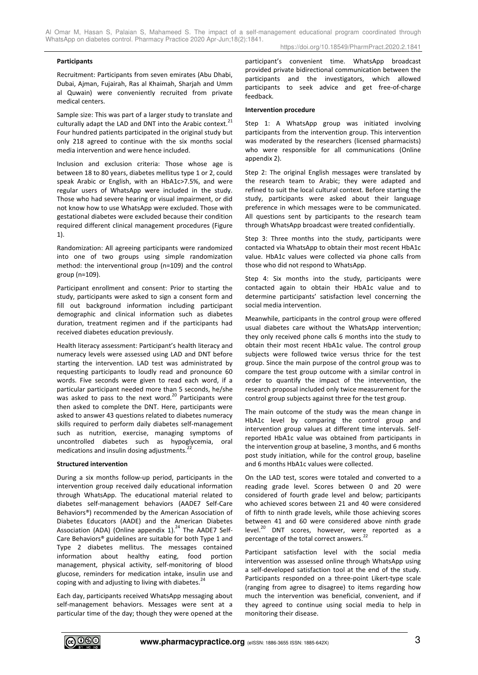#### **Participants**

Recruitment: Participants from seven emirates (Abu Dhabi, Dubai, Ajman, Fujairah, Ras al Khaimah, Sharjah and Umm al Quwain) were conveniently recruited from private medical centers.

Sample size: This was part of a larger study to translate and culturally adapt the LAD and DNT into the Arabic context. $^{21}$ Four hundred patients participated in the original study but only 218 agreed to continue with the six months social media intervention and were hence included.

Inclusion and exclusion criteria: Those whose age is between 18 to 80 years, diabetes mellitus type 1 or 2, could speak Arabic or English, with an HbA1c>7.5%, and were regular users of WhatsApp were included in the study. Those who had severe hearing or visual impairment, or did not know how to use WhatsApp were excluded. Those with gestational diabetes were excluded because their condition required different clinical management procedures (Figure 1).

Randomization: All agreeing participants were randomized into one of two groups using simple randomization method: the interventional group (n=109) and the control group (n=109).

Participant enrollment and consent: Prior to starting the study, participants were asked to sign a consent form and fill out background information including participant demographic and clinical information such as diabetes duration, treatment regimen and if the participants had received diabetes education previously.

Health literacy assessment: Participant's health literacy and numeracy levels were assessed using LAD and DNT before starting the intervention. LAD test was administrated by requesting participants to loudly read and pronounce 60 words. Five seconds were given to read each word, if a particular participant needed more than 5 seconds, he/she was asked to pass to the next word. $^{20}$  Participants were then asked to complete the DNT. Here, participants were asked to answer 43 questions related to diabetes numeracy skills required to perform daily diabetes self-management such as nutrition, exercise, managing symptoms of uncontrolled diabetes such as hypoglycemia, oral medications and insulin dosing adjustments.<sup>2</sup>

#### **Structured intervention**

During a six months follow-up period, participants in the intervention group received daily educational information through WhatsApp. The educational material related to diabetes self-management behaviors (AADE7 Self-Care Behaviors®) recommended by the American Association of Diabetes Educators (AADE) and the American Diabetes Association (ADA) (Online appendix  $1$ ).<sup>24</sup> The AADE7 Self-Care Behaviors® guidelines are suitable for both Type 1 and Type 2 diabetes mellitus. The messages contained information about healthy eating, food portion management, physical activity, self-monitoring of blood glucose, reminders for medication intake, insulin use and coping with and adjusting to living with diabetes. $^{24}$ 

Each day, participants received WhatsApp messaging about self-management behaviors. Messages were sent at a particular time of the day; though they were opened at the participant's convenient time. WhatsApp broadcast provided private bidirectional communication between the participants and the investigators, which allowed participants to seek advice and get free-of-charge feedback.

#### **Intervention procedure**

Step 1: A WhatsApp group was initiated involving participants from the intervention group. This intervention was moderated by the researchers (licensed pharmacists) who were responsible for all communications (Online appendix 2).

Step 2: The original English messages were translated by the research team to Arabic; they were adapted and refined to suit the local cultural context. Before starting the study, participants were asked about their language preference in which messages were to be communicated. All questions sent by participants to the research team through WhatsApp broadcast were treated confidentially.

Step 3: Three months into the study, participants were contacted via WhatsApp to obtain their most recent HbA1c value. HbA1c values were collected via phone calls from those who did not respond to WhatsApp.

Step 4: Six months into the study, participants were contacted again to obtain their HbA1c value and to determine participants' satisfaction level concerning the social media intervention.

Meanwhile, participants in the control group were offered usual diabetes care without the WhatsApp intervention; they only received phone calls 6 months into the study to obtain their most recent HbA1c value. The control group subjects were followed twice versus thrice for the test group. Since the main purpose of the control group was to compare the test group outcome with a similar control in order to quantify the impact of the intervention, the research proposal included only twice measurement for the control group subjects against three for the test group.

The main outcome of the study was the mean change in HbA1c level by comparing the control group and intervention group values at different time intervals. Selfreported HbA1c value was obtained from participants in the intervention group at baseline, 3 months, and 6 months post study initiation, while for the control group, baseline and 6 months HbA1c values were collected.

On the LAD test, scores were totaled and converted to a reading grade level. Scores between 0 and 20 were considered of fourth grade level and below; participants who achieved scores between 21 and 40 were considered of fifth to ninth grade levels, while those achieving scores between 41 and 60 were considered above ninth grade level.<sup>20</sup> DNT scores, however, were reported as a percentage of the total correct answers.<sup>22</sup>

Participant satisfaction level with the social media intervention was assessed online through WhatsApp using a self-developed satisfaction tool at the end of the study. Participants responded on a three-point Likert-type scale (ranging from agree to disagree) to items regarding how much the intervention was beneficial, convenient, and if they agreed to continue using social media to help in monitoring their disease.

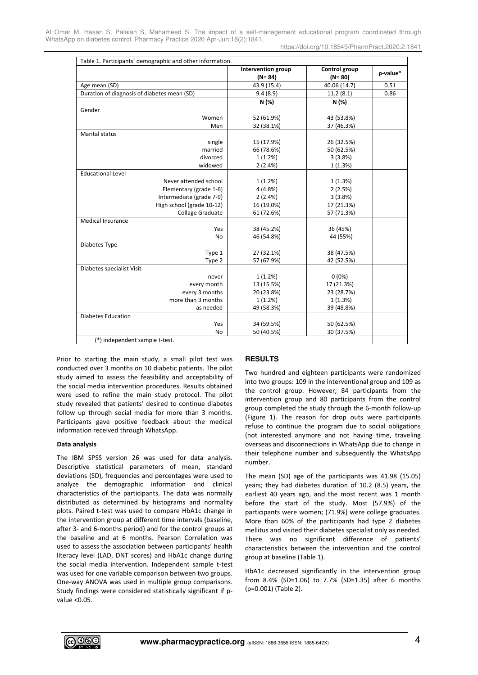https://doi.org/10.18549/PharmPract.2020.2.1841

| Table 1. Participants' demographic and other information. |                                  |                             |          |  |  |  |
|-----------------------------------------------------------|----------------------------------|-----------------------------|----------|--|--|--|
|                                                           | Intervention group<br>$(N = 84)$ | Control group<br>$(N = 80)$ | p-value* |  |  |  |
| Age mean (SD)                                             | 43.9 (15.4)                      | 40.06 (14.7)                | 0.51     |  |  |  |
| Duration of diagnosis of diabetes mean (SD)               | 9.4(8.9)                         | 11.2(8.1)                   | 0.86     |  |  |  |
|                                                           | N (%)                            | N(%)                        |          |  |  |  |
| Gender                                                    |                                  |                             |          |  |  |  |
| Women                                                     | 52 (61.9%)                       | 43 (53.8%)                  |          |  |  |  |
| Men                                                       | 32 (38.1%)                       | 37 (46.3%)                  |          |  |  |  |
| <b>Marital status</b>                                     |                                  |                             |          |  |  |  |
| single                                                    | 15 (17.9%)                       | 26 (32.5%)                  |          |  |  |  |
| married                                                   | 66 (78.6%)                       | 50 (62.5%)                  |          |  |  |  |
| divorced                                                  | 1(1.2%)                          | 3(3.8%)                     |          |  |  |  |
| widowed                                                   | 2(2.4%)                          | 1(1.3%)                     |          |  |  |  |
| <b>Educational Level</b>                                  |                                  |                             |          |  |  |  |
| Never attended school                                     | 1(1.2%)                          | 1(1.3%)                     |          |  |  |  |
| Elementary (grade 1-6)                                    | 4(4.8%)                          | 2(2.5%)                     |          |  |  |  |
| Intermediate (grade 7-9)                                  | 2(2.4%)                          | 3(3.8%)                     |          |  |  |  |
| High school (grade 10-12)                                 | 16 (19.0%)                       | 17 (21.3%)                  |          |  |  |  |
| Collage Graduate                                          | 61 (72.6%)                       | 57 (71.3%)                  |          |  |  |  |
| <b>Medical Insurance</b>                                  |                                  |                             |          |  |  |  |
| Yes                                                       | 38 (45.2%)                       | 36 (45%)                    |          |  |  |  |
| <b>No</b>                                                 | 46 (54.8%)                       | 44 (55%)                    |          |  |  |  |
| Diabetes Type                                             |                                  |                             |          |  |  |  |
| Type 1                                                    | 27 (32.1%)                       | 38 (47.5%)                  |          |  |  |  |
| Type 2                                                    | 57 (67.9%)                       | 42 (52.5%)                  |          |  |  |  |
| Diabetes specialist Visit                                 |                                  |                             |          |  |  |  |
| never                                                     | 1(1.2%)                          | $0(0\%)$                    |          |  |  |  |
| every month                                               | 13 (15.5%)                       | 17 (21.3%)                  |          |  |  |  |
| every 3 months                                            | 20 (23.8%)                       | 23 (28.7%)                  |          |  |  |  |
| more than 3 months                                        | 1(1.2%)                          | 1(1.3%)                     |          |  |  |  |
| as needed                                                 | 49 (58.3%)                       | 39 (48.8%)                  |          |  |  |  |
| <b>Diabetes Education</b>                                 |                                  |                             |          |  |  |  |
| Yes                                                       | 34 (59.5%)                       | 50 (62.5%)                  |          |  |  |  |
| <b>No</b>                                                 | 50 (40.5%)                       | 30 (37.5%)                  |          |  |  |  |
| (*) independent sample t-test.                            |                                  |                             |          |  |  |  |

Prior to starting the main study, a small pilot test was conducted over 3 months on 10 diabetic patients. The pilot study aimed to assess the feasibility and acceptability of the social media intervention procedures. Results obtained were used to refine the main study protocol. The pilot study revealed that patients' desired to continue diabetes follow up through social media for more than 3 months. Participants gave positive feedback about the medical information received through WhatsApp.

# **Data analysis**

The IBM SPSS version 26 was used for data analysis. Descriptive statistical parameters of mean, standard deviations (SD), frequencies and percentages were used to analyze the demographic information and clinical characteristics of the participants. The data was normally distributed as determined by histograms and normality plots. Paired t-test was used to compare HbA1c change in the intervention group at different time intervals (baseline, after 3- and 6-months period) and for the control groups at the baseline and at 6 months. Pearson Correlation was used to assess the association between participants' health literacy level (LAD, DNT scores) and HbA1c change during the social media intervention. Independent sample t-test was used for one variable comparison between two groups. One-way ANOVA was used in multiple group comparisons. Study findings were considered statistically significant if pvalue <0.05.

# **RESULTS**

Two hundred and eighteen participants were randomized into two groups: 109 in the interventional group and 109 as the control group. However, 84 participants from the intervention group and 80 participants from the control group completed the study through the 6-month follow-up (Figure 1). The reason for drop outs were participants refuse to continue the program due to social obligations (not interested anymore and not having time, traveling overseas and disconnections in WhatsApp due to change in their telephone number and subsequently the WhatsApp number.

The mean (SD) age of the participants was 41.98 (15.05) years; they had diabetes duration of 10.2 (8.5) years, the earliest 40 years ago, and the most recent was 1 month before the start of the study. Most (57.9%) of the participants were women; (71.9%) were college graduates. More than 60% of the participants had type 2 diabetes mellitus and visited their diabetes specialist only as needed. There was no significant difference of patients' characteristics between the intervention and the control group at baseline (Table 1).

HbA1c decreased significantly in the intervention group from 8.4% (SD=1.06) to 7.7% (SD=1.35) after 6 months (p=0.001) (Table 2).

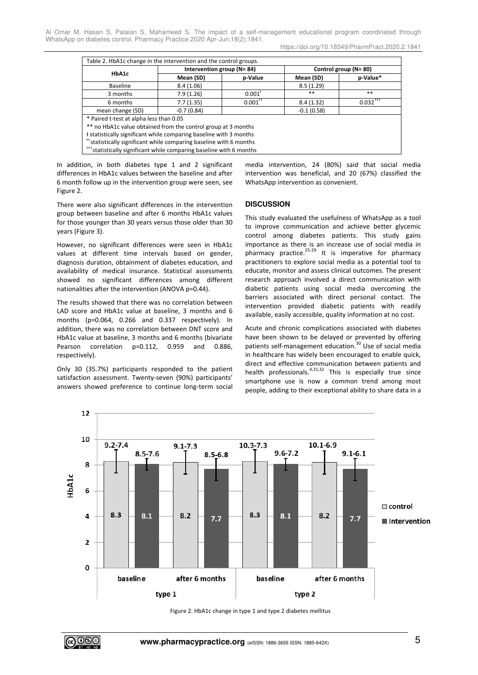https://doi.org/10.18549/PharmPract.2020.2.1841

| Table 2. HbA1c change in the intervention and the control groups.              |                                 |                       |                       |                                     |  |  |
|--------------------------------------------------------------------------------|---------------------------------|-----------------------|-----------------------|-------------------------------------|--|--|
| HbA1c                                                                          | Intervention group ( $N = 84$ ) |                       | Control group (N= 80) |                                     |  |  |
|                                                                                | Mean (SD)                       | p-Value               | Mean (SD)             | p-Value*                            |  |  |
| Baseline                                                                       | 8.4(1.06)                       |                       | 8.5(1.29)             |                                     |  |  |
| 3 months                                                                       | 7.9(1.26)                       | $0.001$ <sup>t</sup>  | $***$                 | $***$                               |  |  |
| 6 months                                                                       | 7.7(1.35)                       | $0.001$ <sup>++</sup> | 8.4(1.32)             | $0.032$ <sup><math>+</math>++</sup> |  |  |
| mean change (SD)                                                               | $-0.7(0.84)$                    |                       | $-0.1(0.58)$          |                                     |  |  |
| * Paired t-test at alpha less than 0.05                                        |                                 |                       |                       |                                     |  |  |
| ** no HbA1c value obtained from the control group at 3 months                  |                                 |                       |                       |                                     |  |  |
| I statistically significant while comparing baseline with 3 months             |                                 |                       |                       |                                     |  |  |
| <sup>++</sup> statistically significant while comparing baseline with 6 months |                                 |                       |                       |                                     |  |  |
| *** statistically significant while comparing baseline with 6 months           |                                 |                       |                       |                                     |  |  |

In addition, in both diabetes type 1 and 2 significant differences in HbA1c values between the baseline and after 6 month follow up in the intervention group were seen, see Figure 2.

There were also significant differences in the intervention group between baseline and after 6 months HbA1c values for those younger than 30 years versus those older than 30 years (Figure 3).

However, no significant differences were seen in HbA1c values at different time intervals based on gender, diagnosis duration, obtainment of diabetes education, and availability of medical insurance. Statistical assessments showed no significant differences among different nationalities after the intervention (ANOVA p=0.44).

The results showed that there was no correlation between LAD score and HbA1c value at baseline, 3 months and 6 months (p=0.064, 0.266 and 0.337 respectively). In addition, there was no correlation between DNT score and HbA1c value at baseline, 3 months and 6 months (bivariate Pearson correlation p=0.112, 0.959 and 0.886, respectively).

Only 30 (35.7%) participants responded to the patient satisfaction assessment. Twenty-seven (90%) participants' answers showed preference to continue long-term social media intervention, 24 (80%) said that social media intervention was beneficial, and 20 (67%) classified the WhatsApp intervention as convenient.

# **DISCUSSION**

This study evaluated the usefulness of WhatsApp as a tool to improve communication and achieve better glycemic control among diabetes patients. This study gains importance as there is an increase use of social media in pharmacy practice.<sup>25-29</sup> It is imperative for pharmacy practitioners to explore social media as a potential tool to educate, monitor and assess clinical outcomes. The present research approach involved a direct communication with diabetic patients using social media overcoming the barriers associated with direct personal contact. The intervention provided diabetic patients with readily available, easily accessible, quality information at no cost.

Acute and chronic complications associated with diabetes have been shown to be delayed or prevented by offering patients self-management education.<sup>30</sup> Use of social media in healthcare has widely been encouraged to enable quick, direct and effective communication between patients and health professionals.<sup>4,31,32</sup> This is especially true since smartphone use is now a common trend among most people, adding to their exceptional ability to share data in a



Figure 2. HbA1c change in type 1 and type 2 diabetes mellitus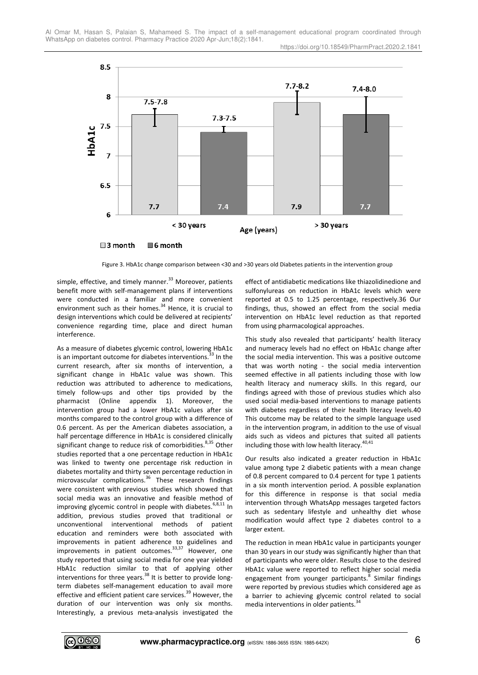



Figure 3. HbA1c change comparison between <30 and >30 years old Diabetes patients in the intervention group

simple, effective, and timely manner.<sup>33</sup> Moreover, patients benefit more with self-management plans if interventions were conducted in a familiar and more convenient environment such as their homes. $34$  Hence, it is crucial to design interventions which could be delivered at recipients' convenience regarding time, place and direct human interference.

As a measure of diabetes glycemic control, lowering HbA1c is an important outcome for diabetes interventions.<sup>33</sup> In the current research, after six months of intervention, a significant change in HbA1c value was shown. This reduction was attributed to adherence to medications, timely follow-ups and other tips provided by the pharmacist (Online appendix 1). Moreover, the intervention group had a lower HbA1c values after six months compared to the control group with a difference of 0.6 percent. As per the American diabetes association, a half percentage difference in HbA1c is considered clinically significant change to reduce risk of comorbidities.<sup>8,35</sup> Other studies reported that a one percentage reduction in HbA1c was linked to twenty one percentage risk reduction in diabetes mortality and thirty seven percentage reduction in microvascular complications.<sup>36</sup> These research findings were consistent with previous studies which showed that social media was an innovative and feasible method of improving glycemic control in people with diabetes.<sup>6,8,11</sup> In addition, previous studies proved that traditional or unconventional interventional methods of patient education and reminders were both associated with improvements in patient adherence to guidelines and improvements in patient outcomes.<sup>33,37</sup> However, one study reported that using social media for one year yielded HbA1c reduction similar to that of applying other interventions for three years. $38$  It is better to provide longterm diabetes self-management education to avail more effective and efficient patient care services.<sup>39</sup> However, the duration of our intervention was only six months. Interestingly, a previous meta-analysis investigated the

effect of antidiabetic medications like thiazolidinedione and sulfonylureas on reduction in HbA1c levels which were reported at 0.5 to 1.25 percentage, respectively.36 Our findings, thus, showed an effect from the social media intervention on HbA1c level reduction as that reported from using pharmacological approaches.

This study also revealed that participants' health literacy and numeracy levels had no effect on HbA1c change after the social media intervention. This was a positive outcome that was worth noting - the social media intervention seemed effective in all patients including those with low health literacy and numeracy skills. In this regard, our findings agreed with those of previous studies which also used social media-based interventions to manage patients with diabetes regardless of their health literacy levels.40 This outcome may be related to the simple language used in the intervention program, in addition to the use of visual aids such as videos and pictures that suited all patients including those with low health literacy. $40,41$ 

Our results also indicated a greater reduction in HbA1c value among type 2 diabetic patients with a mean change of 0.8 percent compared to 0.4 percent for type 1 patients in a six month intervention period. A possible explanation for this difference in response is that social media intervention through WhatsApp messages targeted factors such as sedentary lifestyle and unhealthy diet whose modification would affect type 2 diabetes control to a larger extent.

The reduction in mean HbA1c value in participants younger than 30 years in our study was significantly higher than that of participants who were older. Results close to the desired HbA1c value were reported to reflect higher social media engagement from younger participants.<sup>8</sup> Similar findings were reported by previous studies which considered age as a barrier to achieving glycemic control related to social media interventions in older patients.<sup>34</sup>

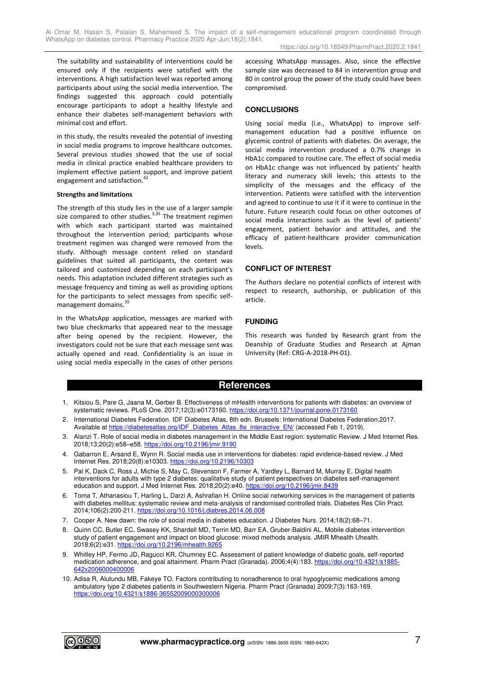https://doi.org/10.18549/PharmPract.2020.2.1841

The suitability and sustainability of interventions could be ensured only if the recipients were satisfied with the interventions. A high satisfaction level was reported among participants about using the social media intervention. The findings suggested this approach could potentially encourage participants to adopt a healthy lifestyle and enhance their diabetes self-management behaviors with minimal cost and effort.

in this study, the results revealed the potential of investing in social media programs to improve healthcare outcomes. Several previous studies showed that the use of social media in clinical practice enabled healthcare providers to implement effective patient support, and improve patient engagement and satisfaction.<sup>42</sup>

# **Strengths and limitations**

The strength of this study lies in the use of a larger sample size compared to other studies. $3,35$  The treatment regimen with which each participant started was maintained throughout the intervention period; participants whose treatment regimen was changed were removed from the study. Although message content relied on standard guidelines that suited all participants, the content was tailored and customized depending on each participant's needs. This adaptation included different strategies such as message frequency and timing as well as providing options for the participants to select messages from specific selfmanagement domains.<sup>35</sup>

In the WhatsApp application, messages are marked with two blue checkmarks that appeared near to the message after being opened by the recipient. However, the investigators could not be sure that each message sent was actually opened and read. Confidentiality is an issue in using social media especially in the cases of other persons accessing WhatsApp massages. Also, since the effective sample size was decreased to 84 in intervention group and 80 in control group the power of the study could have been compromised.

# **CONCLUSIONS**

Using social media (i.e., WhatsApp) to improve selfmanagement education had a positive influence on glycemic control of patients with diabetes. On average, the social media intervention produced a 0.7% change in HbA1c compared to routine care. The effect of social media on HbA1c change was not influenced by patients' health literacy and numeracy skill levels; this attests to the simplicity of the messages and the efficacy of the intervention. Patients were satisfied with the intervention and agreed to continue to use it if it were to continue in the future. Future research could focus on other outcomes of social media interactions such as the level of patients' engagement, patient behavior and attitudes, and the efficacy of patient-healthcare provider communication levels.

# **CONFLICT OF INTEREST**

The Authors declare no potential conflicts of interest with respect to research, authorship, or publication of this article.

# **FUNDING**

This research was funded by Research grant from the Deanship of Graduate Studies and Research at Ajman University (Ref: CRG-A-2018-PH-01).

# **References**

- 1. Kitsiou S, Pare G, Jaana M, Gerber B. Effectiveness of mHealth interventions for patients with diabetes: an overview of systematic reviews. PLoS One. 2017;12(3):e0173160. https://doi.org/10.1371/journal.pone.0173160
- 2. International Diabetes Federation. IDF Diabetes Atlas, 8th edn. Brussels: International Diabetes Federation;2017. Available at [https://diabetesatlas.org/IDF\\_Diabetes\\_Atlas\\_8e\\_interactive\\_EN/](https://diabetesatlas.org/IDF_Diabetes_Atlas_8e_interactive_EN/) (accessed Feb 1, 2019).
- 3. Alanzi T. Role of social media in diabetes management in the Middle East region: systematic Review. J Med Internet Res. 2018;13;20(2):e58–e58.<https://doi.org/10.2196/jmir.9190>
- 4. Gabarron E, Arsand E, Wynn R. Social media use in interventions for diabetes: rapid evidence-based review. J Med Internet Res. 2018;20(8):e10303.<https://doi.org/10.2196/10303>
- 5. Pal K, Dack C, Ross J, Michie S, May C, Stevenson F, Farmer A, Yardley L, Barnard M, Murray E. Digital health interventions for adults with type 2 diabetes: qualitative study of patient perspectives on diabetes self-management education and support. J Med Internet Res. 2018;20(2):e40[. https://doi.org/10.2196/jmir.8439](https://doi.org/10.2196/jmir.8439)
- 6. Toma T, Athanasiou T, Harling L, Darzi A, Ashrafian H. Online social networking services in the management of patients with diabetes mellitus: systematic review and meta-analysis of randomised controlled trials. Diabetes Res Clin Pract. 2014;106(2):200-211[. https://doi.org/10.1016/j.diabres.2014.06.008](https://doi.org/10.1016/j.diabres.2014.06.008)
- 7. Cooper A. New dawn: the role of social media in diabetes education. J Diabetes Nurs. 2014;18(2):68–71.
- 8. Quinn CC, Butler EC, Swasey KK, Shardell MD, Terrin MD, Barr EA, Gruber-Baldini AL. Mobile diabetes intervention study of patient engagement and impact on blood glucose: mixed methods analysis. JMIR Mhealth Uhealth. 2018;6(2):e31. https://doi.org/10.2196/mhealth.9265
- 9. Whitley HP, Fermo JD, Ragucci KR, Chumney EC. Assessment of patient knowledge of diabetic goals, self-reported medication adherence, and goal attainment. Pharm Pract (Granada). 2006;4(4):183. [https://doi.org/10.4321/s1885-](https://doi.org/10.4321/s1885-642x2006000400006) [642x2006000400006](https://doi.org/10.4321/s1885-642x2006000400006)
- 10. Adisa R, Alutundu MB, Fakeye TO. Factors contributing to nonadherence to oral hypoglycemic medications among ambulatory type 2 diabetes patients in Southwestern Nigeria. Pharm Pract (Granada) 2009;7(3):163-169. <https://doi.org/10.4321/s1886-36552009000300006>

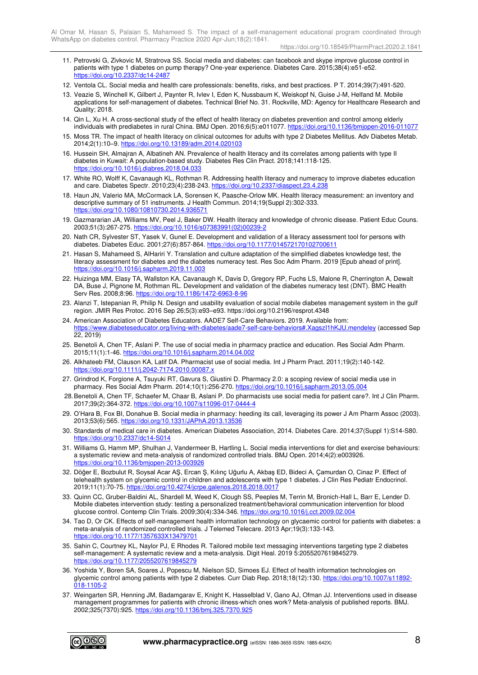https://doi.org/10.18549/PharmPract.2020.2.1841

- 11. Petrovski G, Zivkovic M, Stratrova SS. Social media and diabetes: can facebook and skype improve glucose control in patients with type 1 diabetes on pump therapy? One-year experience. Diabetes Care. 2015;38(4):e51-e52. <https://doi.org/10.2337/dc14-2487>
- 12. Ventola CL. Social media and health care professionals: benefits, risks, and best practices. P T. 2014;39(7):491-520.
- 13. Veazie S, Winchell K, Gilbert J, Paynter R, Ivlev I, Eden K, Nussbaum K, Weiskopf N, Guise J-M, Helfand M. Mobile applications for self-management of diabetes. Technical Brief No. 31. Rockville, MD: Agency for Healthcare Research and Quality; 2018.
- 14. Qin L, Xu H. A cross-sectional study of the effect of health literacy on diabetes prevention and control among elderly individuals with prediabetes in rural China. BMJ Open. 2016;6(5):e011077. https://doi.org/10.1136/bmjopen-2016-011077
- 15. Moss TR. The impact of health literacy on clinical outcomes for adults with type 2 Diabetes Mellitus. Adv Diabetes Metab. 2014;2(1):10–9.<https://doi.org/10.13189/adm.2014.020103>
- 16. Hussein SH, Almajran A, Albatineh AN. Prevalence of health literacy and its correlates among patients with type II diabetes in Kuwait: A population-based study. Diabetes Res Clin Pract. 2018;141:118-125. <https://doi.org/10.1016/j.diabres.2018.04.033>
- 17. White RO, Wolff K, Cavanaugh KL, Rothman R. Addressing health literacy and numeracy to improve diabetes education and care. Diabetes Spectr. 2010;23(4):238-243.<https://doi.org/10.2337/diaspect.23.4.238>
- 18. Haun JN, Valerio MA, McCormack LA, Sorensen K, Paasche-Orlow MK. Health literacy measurement: an inventory and descriptive summary of 51 instruments. J Health Commun. 2014;19(Suppl 2):302-333. <https://doi.org/10.1080/10810730.2014.936571>
- 19. Gazmararian JA, Williams MV, Peel J, Baker DW. Health literacy and knowledge of chronic disease. Patient Educ Couns. 2003;51(3):267-275. [https://doi.org/10.1016/s07383991\(02\)00239-2](https://doi.org/10.1016/s07383991(02)00239-2)
- 20. Nath CR, Sylvester ST, Yasek V, Gunel E. Development and validation of a literacy assessment tool for persons with diabetes. Diabetes Educ. 2001;27(6):857-864.<https://doi.org/10.1177/014572170102700611>
- 21. Hasan S, Mahameed S, AlHariri Y. Translation and culture adaptation of the simplified diabetes knowledge test, the literacy assessment for diabetes and the diabetes numeracy test. Res Soc Adm Pharm. 2019 [Epub ahead of print]. https://doi.org/10.1016/j.sapharm.2019.11.00
- 22. Huizinga MM, Elasy TA, Wallston KA, Cavanaugh K, Davis D, Gregory RP, Fuchs LS, Malone R, Cherrington A, Dewalt DA, Buse J, Pignone M, Rothman RL. Development and validation of the diabetes numeracy test (DNT). BMC Health Serv Res. 2008;8:96[. https://doi.org/10.1186/1472-6963-8-96](https://doi.org/10.1186/1472-6963-8-96)
- 23. Alanzi T, Istepanian R, Philip N. Design and usability evaluation of social mobile diabetes management system in the gulf region. JMIR Res Protoc. 2016 Sep 26;5(3):e93–e93. https://doi.org/10.2196/resprot.4348
- 24. American Association of Diabetes Educators. AADE7 Self-Care Behaviors. 2019. Available from: [https://www.diabeteseducator.org/living-with-diabetes/aade7-self-care-behaviors#.XagszI1hKJU.mendeley \(](https://www.diabeteseducator.org/living-with-diabetes/aade7-self-care-behaviors#.XagszI1hKJU.mendeley)accessed Sep 22, 2019)
- 25. Benetoli A, Chen TF, Aslani P. The use of social media in pharmacy practice and education. Res Social Adm Pharm. 2015;11(1):1-46[. https://doi.org/10.1016/j.sapharm.2014.04.002](https://doi.org/10.1016/j.sapharm.2014.04.002)
- 26. Alkhateeb FM, Clauson KA, Latif DA. Pharmacist use of social media. Int J Pharm Pract. 2011;19(2):140-142. <https://doi.org/10.1111/j.2042-7174.2010.00087.x>
- 27. Grindrod K, Forgione A, Tsuyuki RT, Gavura S, Giustini D. Pharmacy 2.0: a scoping review of social media use in pharmacy. Res Social Adm Pharm. 2014;10(1):256-270[. https://doi.org/10.1016/j.sapharm.2013.05.004](https://doi.org/10.1016/j.sapharm.2013.05.004)
- 28. Benetoli A, Chen TF, Schaefer M, Chaar B, Aslani P. Do pharmacists use social media for patient care?. Int J Clin Pharm. 2017;39(2):364-372.<https://doi.org/10.1007/s11096-017-0444-4>
- 29. O'Hara B, Fox BI, Donahue B. Social media in pharmacy: heeding its call, leveraging its power J Am Pharm Assoc (2003). 2013;53(6):565. https://doi.org/10.1331/JAPhA.2013.135
- 30. Standards of medical care in diabetes. American Diabetes Association, 2014. Diabetes Care. 2014;37(Suppl 1):S14-S80. <https://doi.org/10.2337/dc14-S014>
- 31. Williams G, Hamm MP, Shulhan J, Vandermeer B, Hartling L. Social media interventions for diet and exercise behaviours: a systematic review and meta-analysis of randomized controlled trials. BMJ Open. 2014;4(2):e003926. <https://doi.org/10.1136/bmjopen-2013-003926>
- 32. Döğer E, Bozbulut R, Soysal Acar AŞ, Ercan Ş, Kılınç Uğurlu A, Akbaş ED, Bideci A, Çamurdan O, Cinaz P. Effect of telehealth system on glycemic control in children and adolescents with type 1 diabetes. J Clin Res Pediatr Endocrinol. 2019;11(1):70-75.<https://doi.org/10.4274/jcrpe.galenos.2018.2018.0017>
- 33. Quinn CC, Gruber-Baldini AL, Shardell M, Weed K, Clough SS, Peeples M, Terrin M, Bronich-Hall L, Barr E, Lender D. Mobile diabetes intervention study: testing a personalized treatment/behavioral communication intervention for blood glucose control. Contemp Clin Trials. 2009;30(4):334-346. https://doi.org/10.1016/j.cct.2009.02.004
- 34. Tao D, Or CK. Effects of self-management health information technology on glycaemic control for patients with diabetes: a meta-analysis of randomized controlled trials. J Telemed Telecare. 2013 Apr;19(3):133-143. <https://doi.org/10.1177/1357633X13479701>
- 35. Sahin C, Courtney KL, Naylor PJ, E Rhodes R. Tailored mobile text messaging interventions targeting type 2 diabetes self-management: A systematic review and a meta-analysis. Digit Heal. 2019 5:2055207619845279. <https://doi.org/10.1177/2055207619845279>
- 36. Yoshida Y, Boren SA, Soares J, Popescu M, Nielson SD, Simoes EJ. Effect of health information technologies on glycemic control among patients with type 2 diabetes. Curr Diab Rep. 2018;18(12):130[. https://doi.org/10.1007/s11892-](https://doi.org/10.1007/s11892-018-1105-2) 018-1105-2
- 37. Weingarten SR, Henning JM, Badamgarav E, Knight K, Hasselblad V, Gano AJ, Ofman JJ. Interventions used in disease management programmes for patients with chronic illness-which ones work? Meta-analysis of published reports. BMJ. 2002;325(7370):925[. https://doi.org/10.1136/bmj.325.7370.925](https://doi.org/10.1136/bmj.325.7370.925)